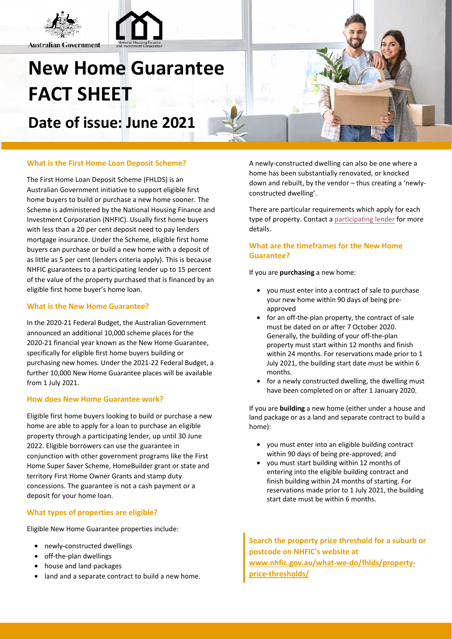

**Australian Government** 

# **New Home Guarantee FACT SHEET**

**Date of issue: June 2021**

#### **What is the First Home Loan Deposit Scheme?**

The First Home Loan Deposit Scheme (FHLDS) is an Australian Government initiative to support eligible first home buyers to build or purchase a new home sooner. The Scheme is administered by the National Housing Finance and Investment Corporation (NHFIC). Usually first home buyers with less than a 20 per cent deposit need to pay lenders mortgage insurance. Under the Scheme, eligible first home buyers can purchase or build a new home with a deposit of as little as 5 per cent (lenders criteria apply). This is because NHFIC guarantees to a participating lender up to 15 percent of the value of the property purchased that is financed by an eligible first home buyer's home loan.

#### **What is the New Home Guarantee?**

In the 2020-21 Federal Budget, the Australian Government announced an additional 10,000 scheme places for the 2020-21 financial year known as the New Home Guarantee, specifically for eligible first home buyers building or purchasing new homes. Under the 2021-22 Federal Budget, a further 10,000 New Home Guarantee places will be available from 1 July 2021.

## **How does New Home Guarantee work?**

Eligible first home buyers looking to build or purchase a new home are able to apply for a loan to purchase an eligible property through a participating lender, up until 30 June 2022. Eligible borrowers can use the guarantee in conjunction with other government programs like the First Home Super Saver Scheme, HomeBuilder grant or state and territory First Home Owner Grants and stamp duty concessions. The guarantee is not a cash payment or a deposit for your home loan.

## **What types of properties are eligible?**

Eligible New Home Guarantee properties include:

- newly-constructed dwellings
- off-the-plan dwellings
- house and land packages
- land and a separate contract to build a new home.

A newly-constructed dwelling can also be one where a home has been substantially renovated, or knocked down and rebuilt, by the vendor – thus creating a 'newlyconstructed dwelling'.

There are particular requirements which apply for each type of property. Contact a [participating lender](https://www.nhfic.gov.au/what-we-do/fhlds/how-to-apply/#FHLDSlenders) for more details.

# **What are the timeframes for the New Home Guarantee?**

If you are **purchasing** a new home:

- you must enter into a contract of sale to purchase your new home within 90 days of being preapproved
- for an off-the-plan property, the contract of sale must be dated on or after 7 October 2020. Generally, the building of your off-the-plan property must start within 12 months and finish within 24 months. For reservations made prior to 1 July 2021, the building start date must be within 6 months.
- for a newly constructed dwelling, the dwelling must have been completed on or after 1 January 2020.

If you are **building** a new home (either under a house and land package or as a land and separate contract to build a home):

- you must enter into an eligible building contract within 90 days of being pre-approved; and
- you must start building within 12 months of entering into the eligible building contract and finish building within 24 months of starting. For reservations made prior to 1 July 2021, the building start date must be within 6 months.

**[Search the property](http://www.nhfic.gov.au/what-we-do/fhlds/property-price-thresholds/) price threshold for a suburb or postcode on NHFIC's website at www.nhfic.gov.au/what-we-do/fhlds/propertyprice-thresholds/**